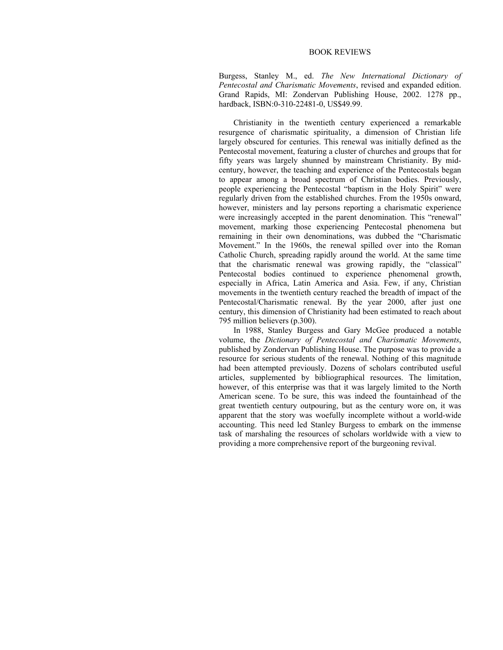## BOOK REVIEWS

Burgess, Stanley M., ed. *The New International Dictionary of Pentecostal and Charismatic Movements*, revised and expanded edition. Grand Rapids, MI: Zondervan Publishing House, 2002. 1278 pp., hardback, ISBN:0-310-22481-0, US\$49.99.

Christianity in the twentieth century experienced a remarkable resurgence of charismatic spirituality, a dimension of Christian life largely obscured for centuries. This renewal was initially defined as the Pentecostal movement, featuring a cluster of churches and groups that for fifty years was largely shunned by mainstream Christianity. By midcentury, however, the teaching and experience of the Pentecostals began to appear among a broad spectrum of Christian bodies. Previously, people experiencing the Pentecostal "baptism in the Holy Spirit" were regularly driven from the established churches. From the 1950s onward, however, ministers and lay persons reporting a charismatic experience were increasingly accepted in the parent denomination. This "renewal" movement, marking those experiencing Pentecostal phenomena but remaining in their own denominations, was dubbed the "Charismatic Movement." In the 1960s, the renewal spilled over into the Roman Catholic Church, spreading rapidly around the world. At the same time that the charismatic renewal was growing rapidly, the "classical" Pentecostal bodies continued to experience phenomenal growth, especially in Africa, Latin America and Asia. Few, if any, Christian movements in the twentieth century reached the breadth of impact of the Pentecostal/Charismatic renewal. By the year 2000, after just one century, this dimension of Christianity had been estimated to reach about 795 million believers (p.300).

In 1988, Stanley Burgess and Gary McGee produced a notable volume, the *Dictionary of Pentecostal and Charismatic Movements*, published by Zondervan Publishing House. The purpose was to provide a resource for serious students of the renewal. Nothing of this magnitude had been attempted previously. Dozens of scholars contributed useful articles, supplemented by bibliographical resources. The limitation, however, of this enterprise was that it was largely limited to the North American scene. To be sure, this was indeed the fountainhead of the great twentieth century outpouring, but as the century wore on, it was apparent that the story was woefully incomplete without a world-wide accounting. This need led Stanley Burgess to embark on the immense task of marshaling the resources of scholars worldwide with a view to providing a more comprehensive report of the burgeoning revival.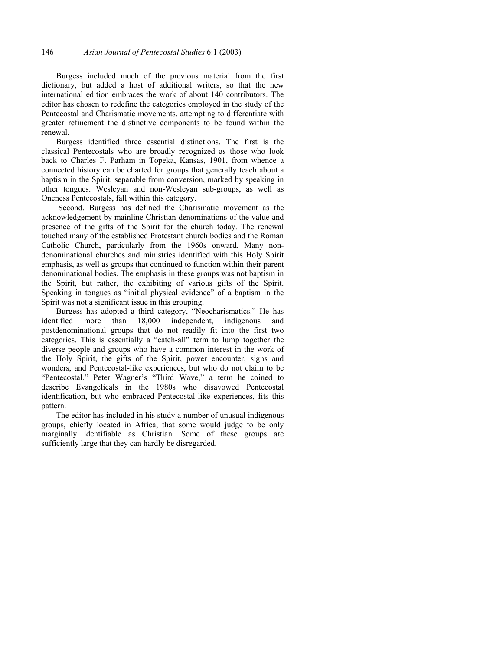Burgess included much of the previous material from the first dictionary, but added a host of additional writers, so that the new international edition embraces the work of about 140 contributors. The editor has chosen to redefine the categories employed in the study of the Pentecostal and Charismatic movements, attempting to differentiate with greater refinement the distinctive components to be found within the renewal.

Burgess identified three essential distinctions. The first is the classical Pentecostals who are broadly recognized as those who look back to Charles F. Parham in Topeka, Kansas, 1901, from whence a connected history can be charted for groups that generally teach about a baptism in the Spirit, separable from conversion, marked by speaking in other tongues. Wesleyan and non-Wesleyan sub-groups, as well as Oneness Pentecostals, fall within this category.

 Second, Burgess has defined the Charismatic movement as the acknowledgement by mainline Christian denominations of the value and presence of the gifts of the Spirit for the church today. The renewal touched many of the established Protestant church bodies and the Roman Catholic Church, particularly from the 1960s onward. Many nondenominational churches and ministries identified with this Holy Spirit emphasis, as well as groups that continued to function within their parent denominational bodies. The emphasis in these groups was not baptism in the Spirit, but rather, the exhibiting of various gifts of the Spirit. Speaking in tongues as "initial physical evidence" of a baptism in the Spirit was not a significant issue in this grouping.

Burgess has adopted a third category, "Neocharismatics." He has identified more than 18,000 independent, indigenous and postdenominational groups that do not readily fit into the first two categories. This is essentially a "catch-all" term to lump together the diverse people and groups who have a common interest in the work of the Holy Spirit, the gifts of the Spirit, power encounter, signs and wonders, and Pentecostal-like experiences, but who do not claim to be "Pentecostal." Peter Wagner's "Third Wave," a term he coined to describe Evangelicals in the 1980s who disavowed Pentecostal identification, but who embraced Pentecostal-like experiences, fits this pattern.

The editor has included in his study a number of unusual indigenous groups, chiefly located in Africa, that some would judge to be only marginally identifiable as Christian. Some of these groups are sufficiently large that they can hardly be disregarded.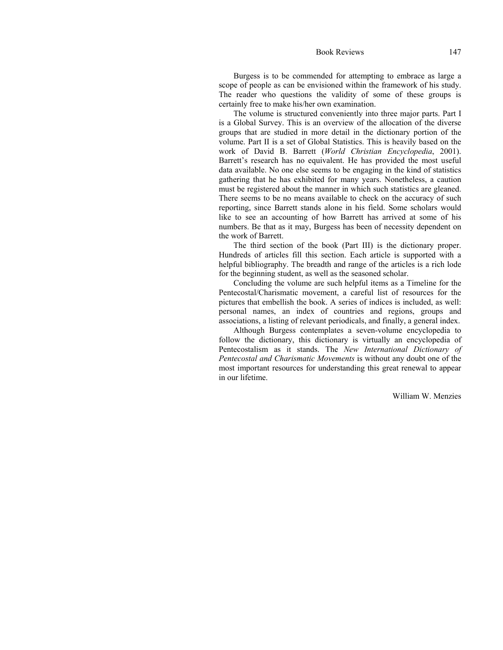Book Reviews 147

Burgess is to be commended for attempting to embrace as large a scope of people as can be envisioned within the framework of his study. The reader who questions the validity of some of these groups is certainly free to make his/her own examination.

The volume is structured conveniently into three major parts. Part I is a Global Survey. This is an overview of the allocation of the diverse groups that are studied in more detail in the dictionary portion of the volume. Part II is a set of Global Statistics. This is heavily based on the work of David B. Barrett (*World Christian Encyclopedia*, 2001). Barrett's research has no equivalent. He has provided the most useful data available. No one else seems to be engaging in the kind of statistics gathering that he has exhibited for many years. Nonetheless, a caution must be registered about the manner in which such statistics are gleaned. There seems to be no means available to check on the accuracy of such reporting, since Barrett stands alone in his field. Some scholars would like to see an accounting of how Barrett has arrived at some of his numbers. Be that as it may, Burgess has been of necessity dependent on the work of Barrett.

The third section of the book (Part III) is the dictionary proper. Hundreds of articles fill this section. Each article is supported with a helpful bibliography. The breadth and range of the articles is a rich lode for the beginning student, as well as the seasoned scholar.

Concluding the volume are such helpful items as a Timeline for the Pentecostal/Charismatic movement, a careful list of resources for the pictures that embellish the book. A series of indices is included, as well: personal names, an index of countries and regions, groups and associations, a listing of relevant periodicals, and finally, a general index.

Although Burgess contemplates a seven-volume encyclopedia to follow the dictionary, this dictionary is virtually an encyclopedia of Pentecostalism as it stands. The *New International Dictionary of Pentecostal and Charismatic Movements* is without any doubt one of the most important resources for understanding this great renewal to appear in our lifetime.

William W. Menzies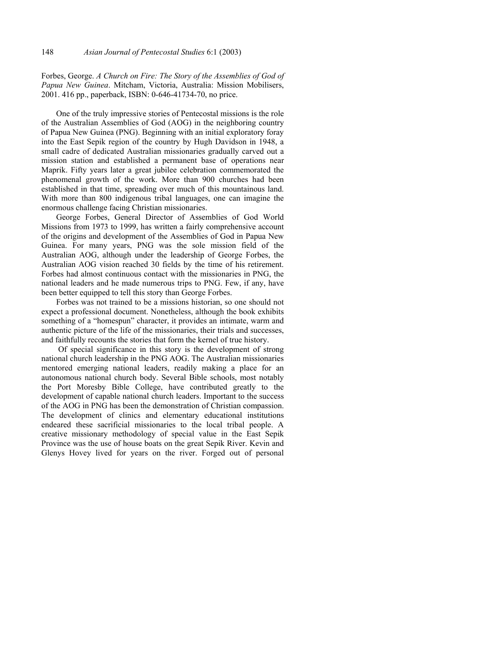Forbes, George. *A Church on Fire: The Story of the Assemblies of God of Papua New Guinea*. Mitcham, Victoria, Australia: Mission Mobilisers, 2001. 416 pp., paperback, ISBN: 0-646-41734-70, no price.

One of the truly impressive stories of Pentecostal missions is the role of the Australian Assemblies of God (AOG) in the neighboring country of Papua New Guinea (PNG). Beginning with an initial exploratory foray into the East Sepik region of the country by Hugh Davidson in 1948, a small cadre of dedicated Australian missionaries gradually carved out a mission station and established a permanent base of operations near Maprik. Fifty years later a great jubilee celebration commemorated the phenomenal growth of the work. More than 900 churches had been established in that time, spreading over much of this mountainous land. With more than 800 indigenous tribal languages, one can imagine the enormous challenge facing Christian missionaries.

George Forbes, General Director of Assemblies of God World Missions from 1973 to 1999, has written a fairly comprehensive account of the origins and development of the Assemblies of God in Papua New Guinea. For many years, PNG was the sole mission field of the Australian AOG, although under the leadership of George Forbes, the Australian AOG vision reached 30 fields by the time of his retirement. Forbes had almost continuous contact with the missionaries in PNG, the national leaders and he made numerous trips to PNG. Few, if any, have been better equipped to tell this story than George Forbes.

Forbes was not trained to be a missions historian, so one should not expect a professional document. Nonetheless, although the book exhibits something of a "homespun" character, it provides an intimate, warm and authentic picture of the life of the missionaries, their trials and successes, and faithfully recounts the stories that form the kernel of true history.

 Of special significance in this story is the development of strong national church leadership in the PNG AOG. The Australian missionaries mentored emerging national leaders, readily making a place for an autonomous national church body. Several Bible schools, most notably the Port Moresby Bible College, have contributed greatly to the development of capable national church leaders. Important to the success of the AOG in PNG has been the demonstration of Christian compassion. The development of clinics and elementary educational institutions endeared these sacrificial missionaries to the local tribal people. A creative missionary methodology of special value in the East Sepik Province was the use of house boats on the great Sepik River. Kevin and Glenys Hovey lived for years on the river. Forged out of personal